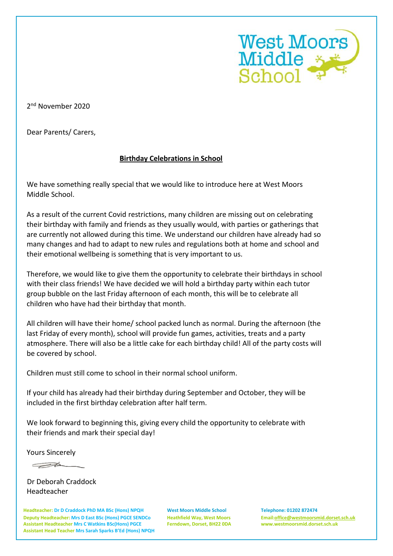

2<sup>nd</sup> November 2020

Dear Parents/ Carers,

## **Birthday Celebrations in School**

We have something really special that we would like to introduce here at West Moors Middle School.

As a result of the current Covid restrictions, many children are missing out on celebrating their birthday with family and friends as they usually would, with parties or gatherings that are currently not allowed during this time. We understand our children have already had so many changes and had to adapt to new rules and regulations both at home and school and their emotional wellbeing is something that is very important to us.

Therefore, we would like to give them the opportunity to celebrate their birthdays in school with their class friends! We have decided we will hold a birthday party within each tutor group bubble on the last Friday afternoon of each month, this will be to celebrate all children who have had their birthday that month.

All children will have their home/ school packed lunch as normal. During the afternoon (the last Friday of every month), school will provide fun games, activities, treats and a party atmosphere. There will also be a little cake for each birthday child! All of the party costs will be covered by school.

Children must still come to school in their normal school uniform.

If your child has already had their birthday during September and October, they will be included in the first birthday celebration after half term.

We look forward to beginning this, giving every child the opportunity to celebrate with their friends and mark their special day!

Yours Sincerely

 $\overline{\longrightarrow}$ 

 Dr Deborah Craddock Headteacher

**Headteacher: Dr D Craddock PhD MA BSc (Hons) NPQH West Moors Middle School Telephone: 01202 872474 Deputy Headteacher: Mrs D East BSc (Hons) PGCE SENDCo Heathfield Way, West Moors Email[:office@westmoorsmid.dorset.sch.uk](mailto:office@westmoorsmid.dorset.sch.uk) Assistant Headteacher Mrs C Watkins BSc(Hons) PGCE Ferndown, Dorset, BH22 0DA www.westmoorsmid.dorset.sch.uk Assistant Head Teacher Mrs Sarah Sparks B'Ed (Hons) NPQH**